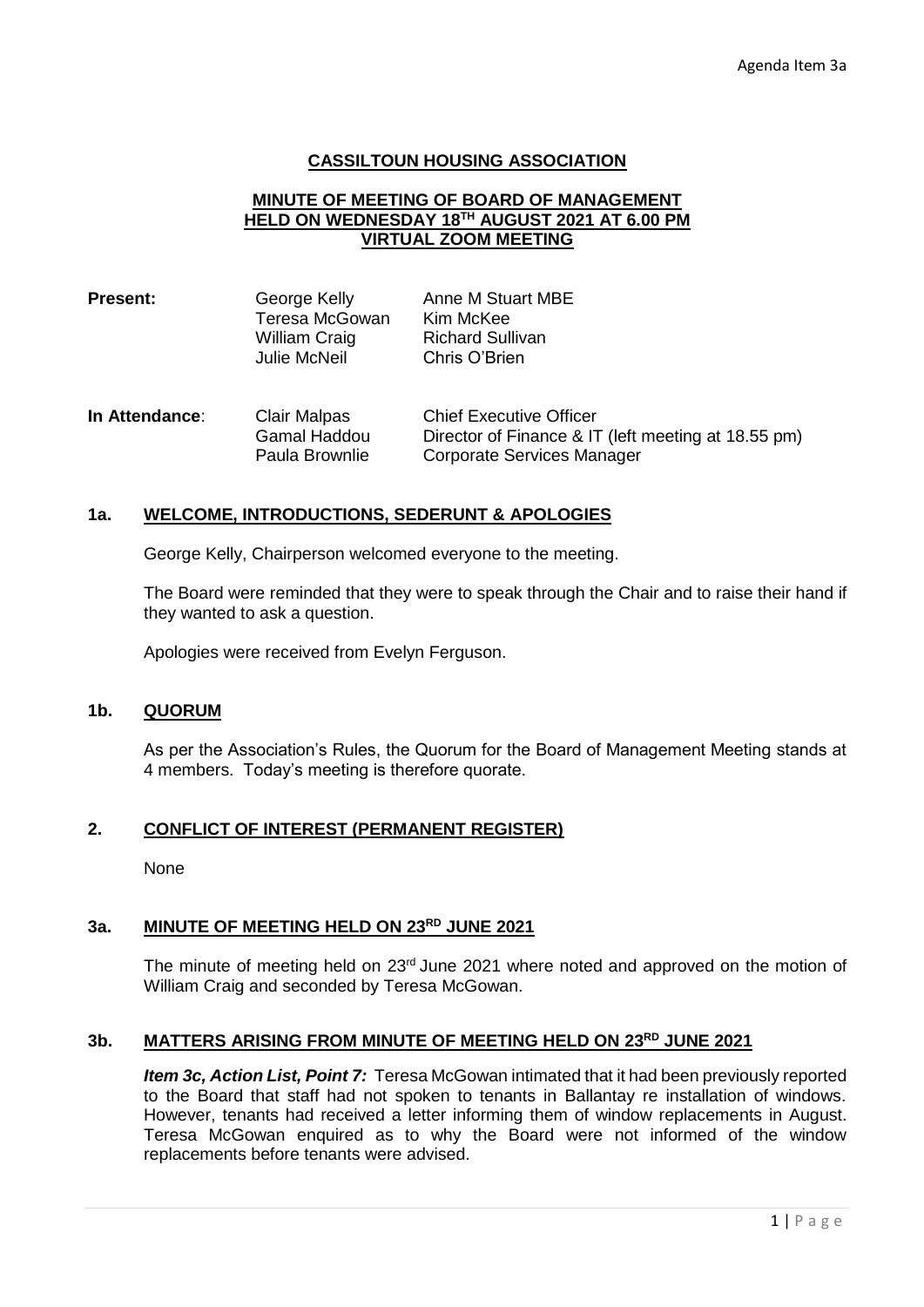### **CASSILTOUN HOUSING ASSOCIATION**

#### **MINUTE OF MEETING OF BOARD OF MANAGEMENT HELD ON WEDNESDAY 18TH AUGUST 2021 AT 6.00 PM VIRTUAL ZOOM MEETING**

| <b>Present:</b> | George Kelly<br>Teresa McGowan<br>William Craig<br><b>Julie McNeil</b> | Anne M Stuart MBE<br>Kim McKee<br><b>Richard Sullivan</b><br>Chris O'Brien                                          |
|-----------------|------------------------------------------------------------------------|---------------------------------------------------------------------------------------------------------------------|
| In Attendance:  | <b>Clair Malpas</b><br><b>Gamal Haddou</b><br>Paula Brownlie           | <b>Chief Executive Officer</b><br>Director of Finance & IT (left meeting at 18.55 pm)<br>Corporate Services Manager |

### **1a. WELCOME, INTRODUCTIONS, SEDERUNT & APOLOGIES**

George Kelly, Chairperson welcomed everyone to the meeting.

The Board were reminded that they were to speak through the Chair and to raise their hand if they wanted to ask a question.

Apologies were received from Evelyn Ferguson.

#### **1b. QUORUM**

As per the Association's Rules, the Quorum for the Board of Management Meeting stands at 4 members. Today's meeting is therefore quorate.

### **2. CONFLICT OF INTEREST (PERMANENT REGISTER)**

**None** 

# **3a. MINUTE OF MEETING HELD ON 23RD JUNE 2021**

The minute of meeting held on 23<sup>rd</sup> June 2021 where noted and approved on the motion of William Craig and seconded by Teresa McGowan.

# **3b. MATTERS ARISING FROM MINUTE OF MEETING HELD ON 23RD JUNE 2021**

*Item 3c, Action List, Point 7:* Teresa McGowan intimated that it had been previously reported to the Board that staff had not spoken to tenants in Ballantay re installation of windows. However, tenants had received a letter informing them of window replacements in August. Teresa McGowan enquired as to why the Board were not informed of the window replacements before tenants were advised.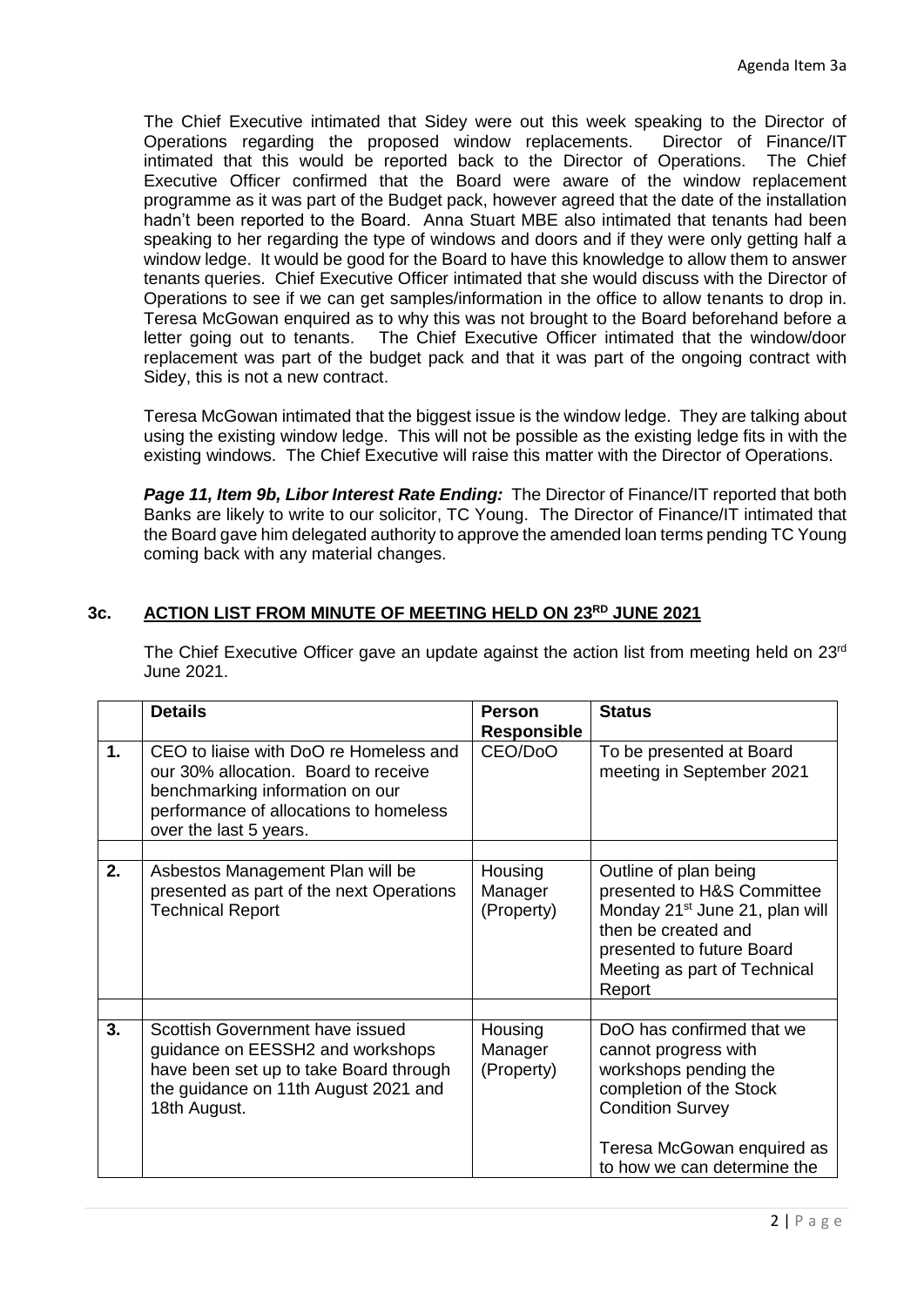The Chief Executive intimated that Sidey were out this week speaking to the Director of Operations regarding the proposed window replacements. Director of Finance/IT intimated that this would be reported back to the Director of Operations. The Chief Executive Officer confirmed that the Board were aware of the window replacement programme as it was part of the Budget pack, however agreed that the date of the installation hadn't been reported to the Board. Anna Stuart MBE also intimated that tenants had been speaking to her regarding the type of windows and doors and if they were only getting half a window ledge. It would be good for the Board to have this knowledge to allow them to answer tenants queries. Chief Executive Officer intimated that she would discuss with the Director of Operations to see if we can get samples/information in the office to allow tenants to drop in. Teresa McGowan enquired as to why this was not brought to the Board beforehand before a letter going out to tenants. The Chief Executive Officer intimated that the window/door replacement was part of the budget pack and that it was part of the ongoing contract with Sidey, this is not a new contract.

Teresa McGowan intimated that the biggest issue is the window ledge. They are talking about using the existing window ledge. This will not be possible as the existing ledge fits in with the existing windows. The Chief Executive will raise this matter with the Director of Operations.

**Page 11, Item 9b, Libor Interest Rate Ending:** The Director of Finance/IT reported that both Banks are likely to write to our solicitor, TC Young. The Director of Finance/IT intimated that the Board gave him delegated authority to approve the amended loan terms pending TC Young coming back with any material changes.

# **3c. ACTION LIST FROM MINUTE OF MEETING HELD ON 23RD JUNE 2021**

The Chief Executive Officer gave an update against the action list from meeting held on 23<sup>rd</sup> June 2021.

|    | <b>Details</b>                                                                                                                                                                        | <b>Person</b><br><b>Responsible</b> | <b>Status</b>                                                                                                                                                                                   |
|----|---------------------------------------------------------------------------------------------------------------------------------------------------------------------------------------|-------------------------------------|-------------------------------------------------------------------------------------------------------------------------------------------------------------------------------------------------|
| 1. | CEO to liaise with DoO re Homeless and<br>our 30% allocation. Board to receive<br>benchmarking information on our<br>performance of allocations to homeless<br>over the last 5 years. | CEO/DoO                             | To be presented at Board<br>meeting in September 2021                                                                                                                                           |
| 2. | Asbestos Management Plan will be<br>presented as part of the next Operations<br><b>Technical Report</b>                                                                               | Housing<br>Manager<br>(Property)    | Outline of plan being<br>presented to H&S Committee<br>Monday 21 <sup>st</sup> June 21, plan will<br>then be created and<br>presented to future Board<br>Meeting as part of Technical<br>Report |
| 3. | Scottish Government have issued<br>guidance on EESSH2 and workshops<br>have been set up to take Board through<br>the guidance on 11th August 2021 and<br>18th August.                 | Housing<br>Manager<br>(Property)    | DoO has confirmed that we<br>cannot progress with<br>workshops pending the<br>completion of the Stock<br><b>Condition Survey</b><br>Teresa McGowan enquired as<br>to how we can determine the   |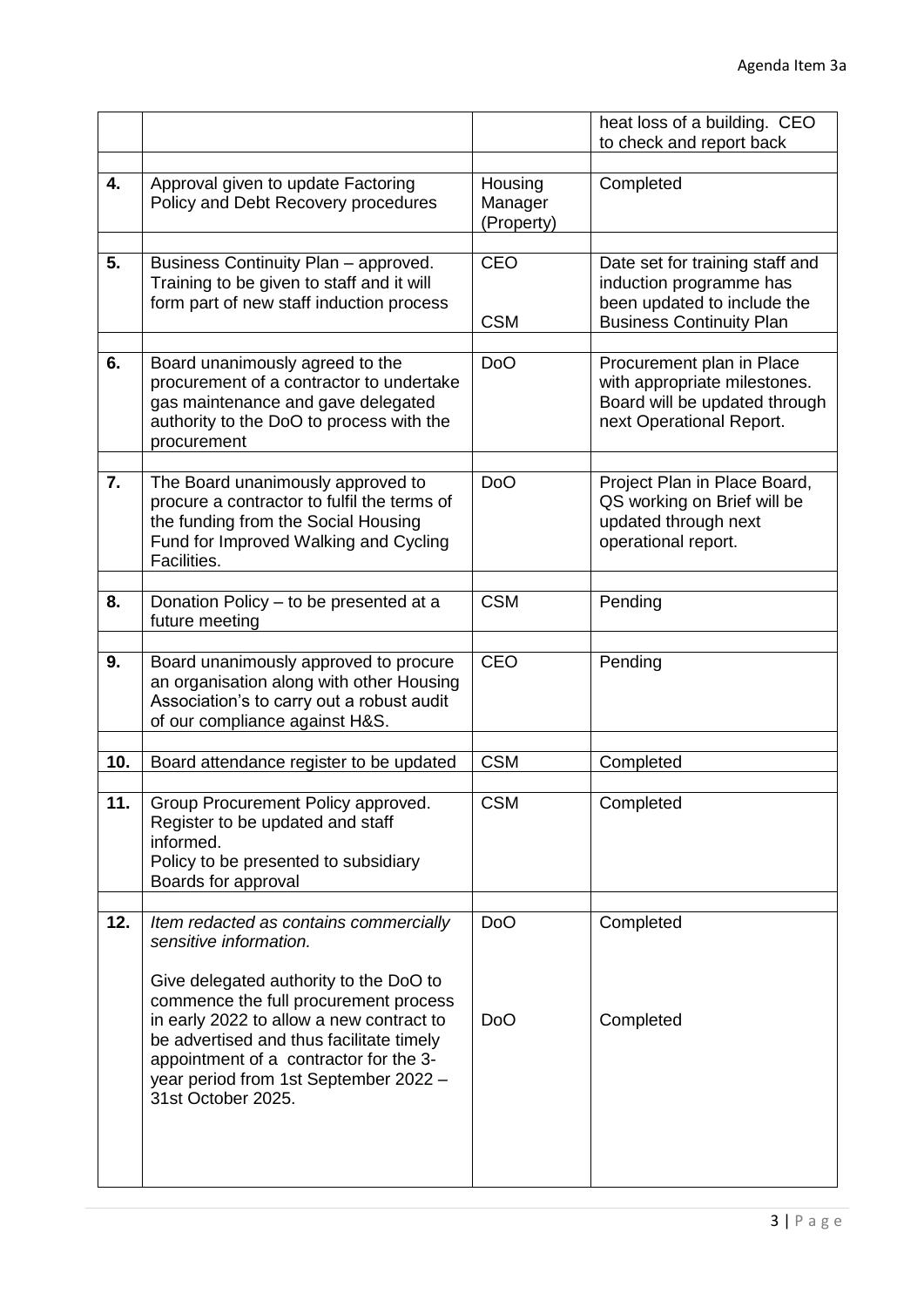|     |                                                                                                                                                                                                                                                                                                            |                                  | heat loss of a building. CEO<br>to check and report back                                                                     |
|-----|------------------------------------------------------------------------------------------------------------------------------------------------------------------------------------------------------------------------------------------------------------------------------------------------------------|----------------------------------|------------------------------------------------------------------------------------------------------------------------------|
|     |                                                                                                                                                                                                                                                                                                            |                                  |                                                                                                                              |
| 4.  | Approval given to update Factoring<br>Policy and Debt Recovery procedures                                                                                                                                                                                                                                  | Housing<br>Manager<br>(Property) | Completed                                                                                                                    |
| 5.  | Business Continuity Plan - approved.<br>Training to be given to staff and it will<br>form part of new staff induction process                                                                                                                                                                              | <b>CEO</b><br><b>CSM</b>         | Date set for training staff and<br>induction programme has<br>been updated to include the<br><b>Business Continuity Plan</b> |
| 6.  | Board unanimously agreed to the<br>procurement of a contractor to undertake<br>gas maintenance and gave delegated<br>authority to the DoO to process with the<br>procurement                                                                                                                               | <b>DoO</b>                       | Procurement plan in Place<br>with appropriate milestones.<br>Board will be updated through<br>next Operational Report.       |
| 7.  | The Board unanimously approved to<br>procure a contractor to fulfil the terms of<br>the funding from the Social Housing<br>Fund for Improved Walking and Cycling<br>Facilities.                                                                                                                            | <b>DoO</b>                       | Project Plan in Place Board,<br>QS working on Brief will be<br>updated through next<br>operational report.                   |
| 8.  | Donation Policy – to be presented at a<br>future meeting                                                                                                                                                                                                                                                   | <b>CSM</b>                       | Pending                                                                                                                      |
| 9.  | Board unanimously approved to procure<br>an organisation along with other Housing<br>Association's to carry out a robust audit<br>of our compliance against H&S.                                                                                                                                           | <b>CEO</b>                       | Pending                                                                                                                      |
|     |                                                                                                                                                                                                                                                                                                            | <b>CSM</b>                       |                                                                                                                              |
| 10. | Board attendance register to be updated                                                                                                                                                                                                                                                                    |                                  | Completed                                                                                                                    |
| 11  | Group Procurement Policy approved.<br>Register to be updated and staff<br>informed.<br>Policy to be presented to subsidiary<br>Boards for approval                                                                                                                                                         | <b>CSM</b>                       | Completed                                                                                                                    |
| 12. | Item redacted as contains commercially                                                                                                                                                                                                                                                                     | D <sub>o</sub> O                 | Completed                                                                                                                    |
|     | sensitive information.<br>Give delegated authority to the DoO to<br>commence the full procurement process<br>in early 2022 to allow a new contract to<br>be advertised and thus facilitate timely<br>appointment of a contractor for the 3-<br>year period from 1st September 2022 -<br>31st October 2025. | <b>DoO</b>                       | Completed                                                                                                                    |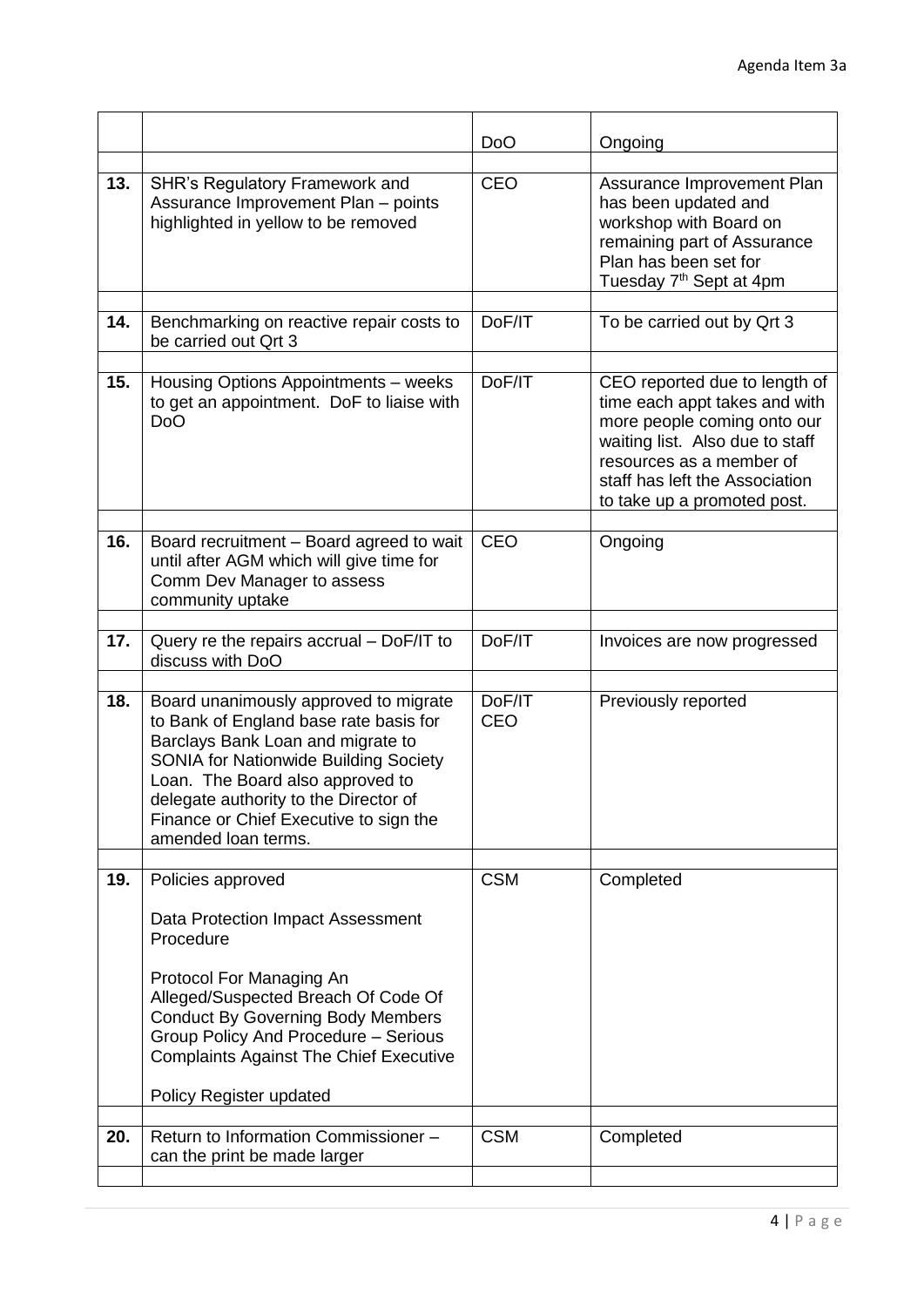|     |                                                                                                                                                                                                                                                                                                                    | <b>DoO</b>           | Ongoing                                                                                                                                                                                                                       |
|-----|--------------------------------------------------------------------------------------------------------------------------------------------------------------------------------------------------------------------------------------------------------------------------------------------------------------------|----------------------|-------------------------------------------------------------------------------------------------------------------------------------------------------------------------------------------------------------------------------|
| 13. | <b>SHR's Regulatory Framework and</b><br>Assurance Improvement Plan - points<br>highlighted in yellow to be removed                                                                                                                                                                                                | <b>CEO</b>           | Assurance Improvement Plan<br>has been updated and<br>workshop with Board on<br>remaining part of Assurance<br>Plan has been set for<br>Tuesday 7 <sup>th</sup> Sept at 4pm                                                   |
| 14. | Benchmarking on reactive repair costs to<br>be carried out Qrt 3                                                                                                                                                                                                                                                   | DoF/IT               | To be carried out by Qrt 3                                                                                                                                                                                                    |
| 15. | Housing Options Appointments - weeks<br>to get an appointment. DoF to liaise with<br><b>DoO</b>                                                                                                                                                                                                                    | DoF/IT               | CEO reported due to length of<br>time each appt takes and with<br>more people coming onto our<br>waiting list. Also due to staff<br>resources as a member of<br>staff has left the Association<br>to take up a promoted post. |
| 16. | Board recruitment - Board agreed to wait<br>until after AGM which will give time for<br>Comm Dev Manager to assess<br>community uptake                                                                                                                                                                             | <b>CEO</b>           | Ongoing                                                                                                                                                                                                                       |
| 17. | Query re the repairs accrual - DoF/IT to<br>discuss with DoO                                                                                                                                                                                                                                                       | DoF/IT               | Invoices are now progressed                                                                                                                                                                                                   |
| 18. | Board unanimously approved to migrate<br>to Bank of England base rate basis for<br>Barclays Bank Loan and migrate to<br><b>SONIA for Nationwide Building Society</b><br>Loan. The Board also approved to<br>delegate authority to the Director of<br>Finance or Chief Executive to sign the<br>amended loan terms. | DoF/IT<br><b>CEO</b> | Previously reported                                                                                                                                                                                                           |
| 19. | Policies approved<br>Data Protection Impact Assessment<br>Procedure                                                                                                                                                                                                                                                | <b>CSM</b>           | Completed                                                                                                                                                                                                                     |
|     | Protocol For Managing An<br>Alleged/Suspected Breach Of Code Of<br><b>Conduct By Governing Body Members</b><br>Group Policy And Procedure - Serious<br><b>Complaints Against The Chief Executive</b><br>Policy Register updated                                                                                    |                      |                                                                                                                                                                                                                               |
| 20. | Return to Information Commissioner -<br>can the print be made larger                                                                                                                                                                                                                                               | <b>CSM</b>           | Completed                                                                                                                                                                                                                     |
|     |                                                                                                                                                                                                                                                                                                                    |                      |                                                                                                                                                                                                                               |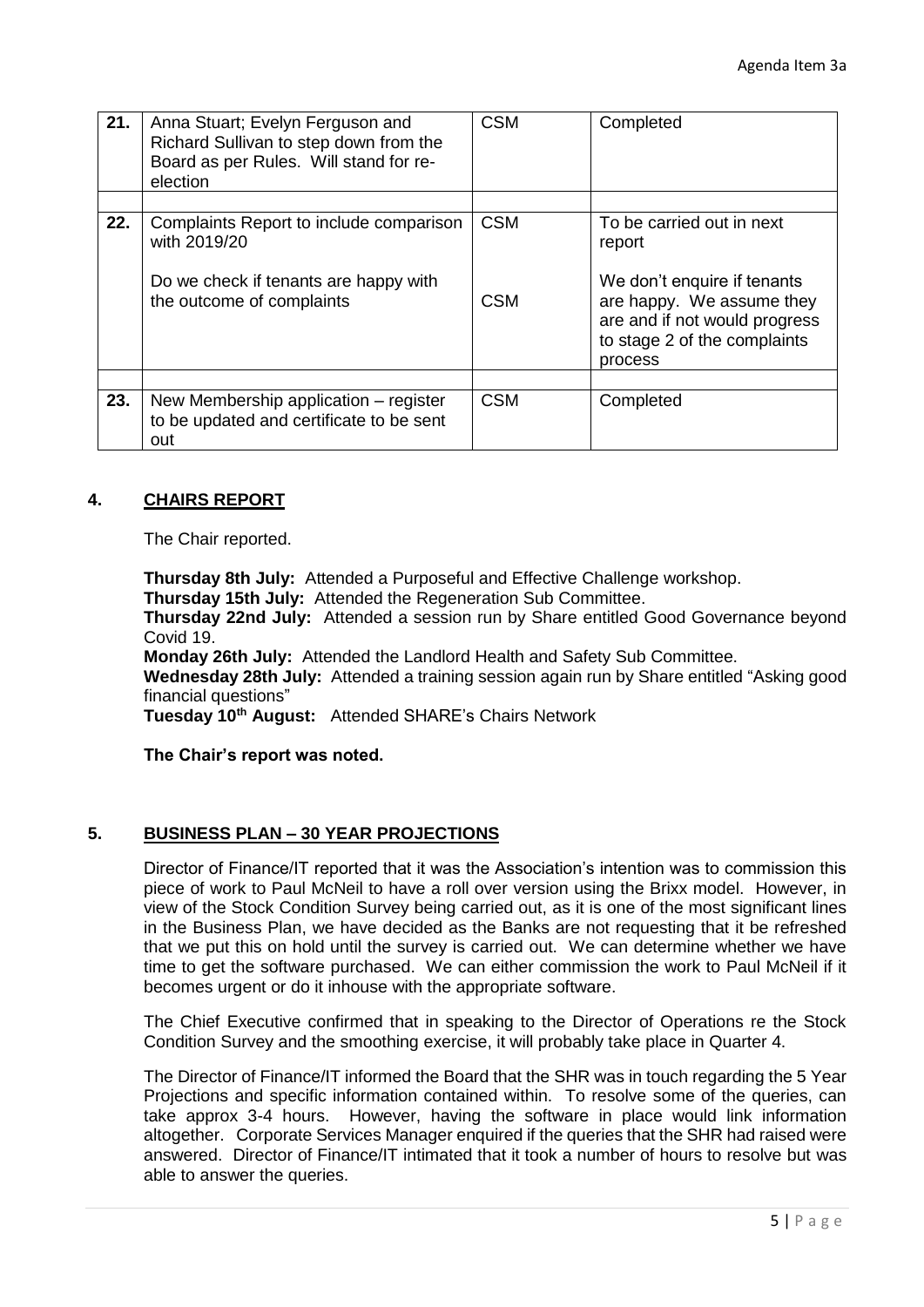| 21. | Anna Stuart; Evelyn Ferguson and<br>Richard Sullivan to step down from the<br>Board as per Rules. Will stand for re-<br>election | <b>CSM</b>               | Completed                                                                                                                                                                   |
|-----|----------------------------------------------------------------------------------------------------------------------------------|--------------------------|-----------------------------------------------------------------------------------------------------------------------------------------------------------------------------|
| 22. | Complaints Report to include comparison<br>with 2019/20<br>Do we check if tenants are happy with<br>the outcome of complaints    | <b>CSM</b><br><b>CSM</b> | To be carried out in next<br>report<br>We don't enquire if tenants<br>are happy. We assume they<br>are and if not would progress<br>to stage 2 of the complaints<br>process |
| 23. | New Membership application – register<br>to be updated and certificate to be sent<br>out                                         | <b>CSM</b>               | Completed                                                                                                                                                                   |

### **4. CHAIRS REPORT**

The Chair reported.

**Thursday 8th July:** Attended a Purposeful and Effective Challenge workshop. **Thursday 15th July:** Attended the Regeneration Sub Committee.

**Thursday 22nd July:** Attended a session run by Share entitled Good Governance beyond Covid 19.

**Monday 26th July:** Attended the Landlord Health and Safety Sub Committee.

**Wednesday 28th July:** Attended a training session again run by Share entitled "Asking good financial questions"

**Tuesday 10th August:** Attended SHARE's Chairs Network

**The Chair's report was noted.**

#### **5. BUSINESS PLAN – 30 YEAR PROJECTIONS**

Director of Finance/IT reported that it was the Association's intention was to commission this piece of work to Paul McNeil to have a roll over version using the Brixx model. However, in view of the Stock Condition Survey being carried out, as it is one of the most significant lines in the Business Plan, we have decided as the Banks are not requesting that it be refreshed that we put this on hold until the survey is carried out. We can determine whether we have time to get the software purchased. We can either commission the work to Paul McNeil if it becomes urgent or do it inhouse with the appropriate software.

The Chief Executive confirmed that in speaking to the Director of Operations re the Stock Condition Survey and the smoothing exercise, it will probably take place in Quarter 4.

The Director of Finance/IT informed the Board that the SHR was in touch regarding the 5 Year Projections and specific information contained within. To resolve some of the queries, can take approx 3-4 hours. However, having the software in place would link information altogether. Corporate Services Manager enquired if the queries that the SHR had raised were answered. Director of Finance/IT intimated that it took a number of hours to resolve but was able to answer the queries.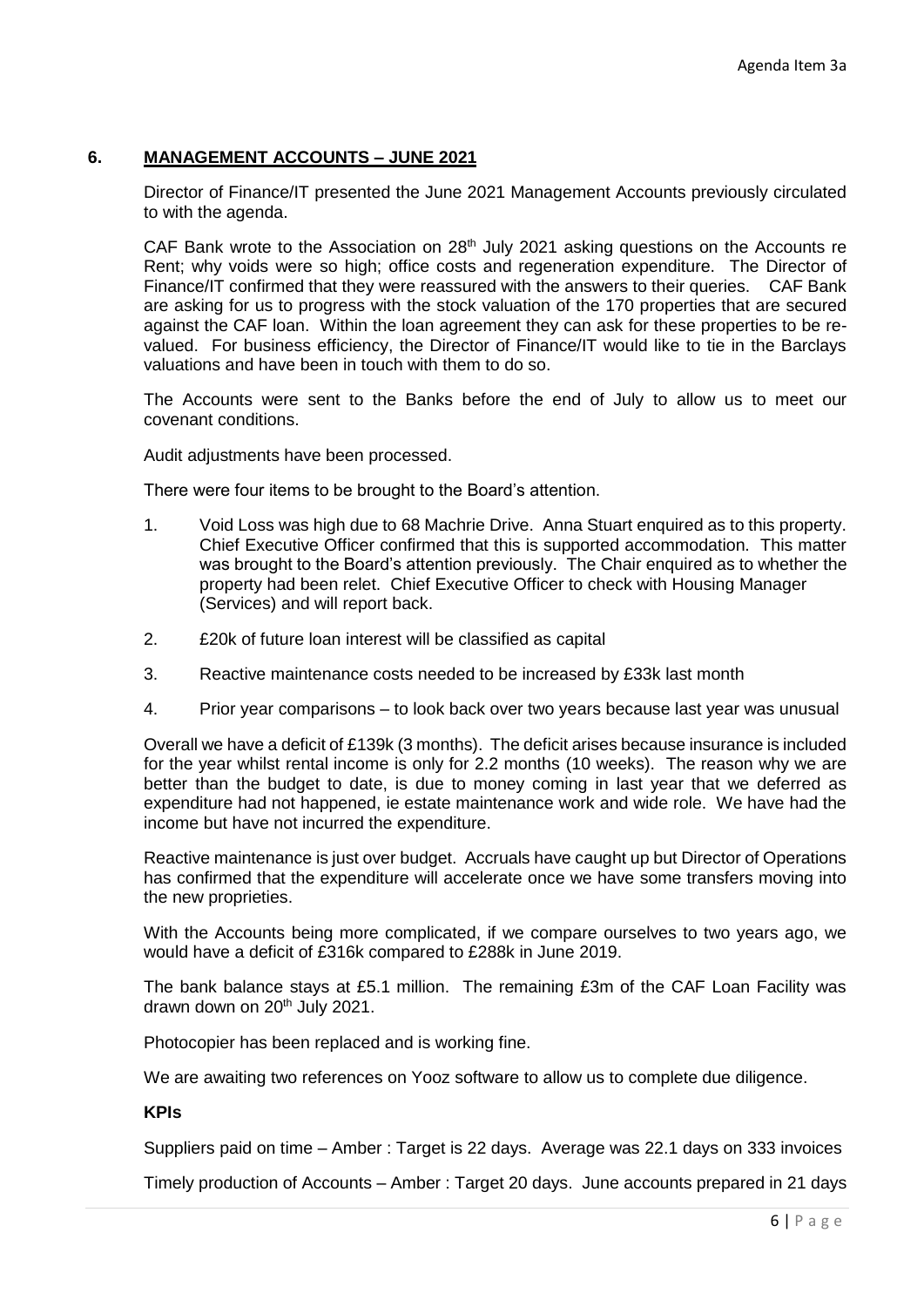## **6. MANAGEMENT ACCOUNTS – JUNE 2021**

Director of Finance/IT presented the June 2021 Management Accounts previously circulated to with the agenda.

CAF Bank wrote to the Association on  $28<sup>th</sup>$  July 2021 asking questions on the Accounts re Rent; why voids were so high; office costs and regeneration expenditure. The Director of Finance/IT confirmed that they were reassured with the answers to their queries. CAF Bank are asking for us to progress with the stock valuation of the 170 properties that are secured against the CAF loan. Within the loan agreement they can ask for these properties to be revalued. For business efficiency, the Director of Finance/IT would like to tie in the Barclays valuations and have been in touch with them to do so.

The Accounts were sent to the Banks before the end of July to allow us to meet our covenant conditions.

Audit adjustments have been processed.

There were four items to be brought to the Board's attention.

- 1. Void Loss was high due to 68 Machrie Drive. Anna Stuart enquired as to this property. Chief Executive Officer confirmed that this is supported accommodation. This matter was brought to the Board's attention previously. The Chair enquired as to whether the property had been relet. Chief Executive Officer to check with Housing Manager (Services) and will report back.
- 2. £20k of future loan interest will be classified as capital
- 3. Reactive maintenance costs needed to be increased by £33k last month
- 4. Prior year comparisons to look back over two years because last year was unusual

Overall we have a deficit of £139k (3 months). The deficit arises because insurance is included for the year whilst rental income is only for 2.2 months (10 weeks). The reason why we are better than the budget to date, is due to money coming in last year that we deferred as expenditure had not happened, ie estate maintenance work and wide role. We have had the income but have not incurred the expenditure.

Reactive maintenance is just over budget. Accruals have caught up but Director of Operations has confirmed that the expenditure will accelerate once we have some transfers moving into the new proprieties.

With the Accounts being more complicated, if we compare ourselves to two years ago, we would have a deficit of £316k compared to £288k in June 2019.

The bank balance stays at £5.1 million. The remaining £3m of the CAF Loan Facility was drawn down on 20<sup>th</sup> July 2021.

Photocopier has been replaced and is working fine.

We are awaiting two references on Yooz software to allow us to complete due diligence.

### **KPIs**

Suppliers paid on time – Amber : Target is 22 days. Average was 22.1 days on 333 invoices

Timely production of Accounts – Amber : Target 20 days. June accounts prepared in 21 days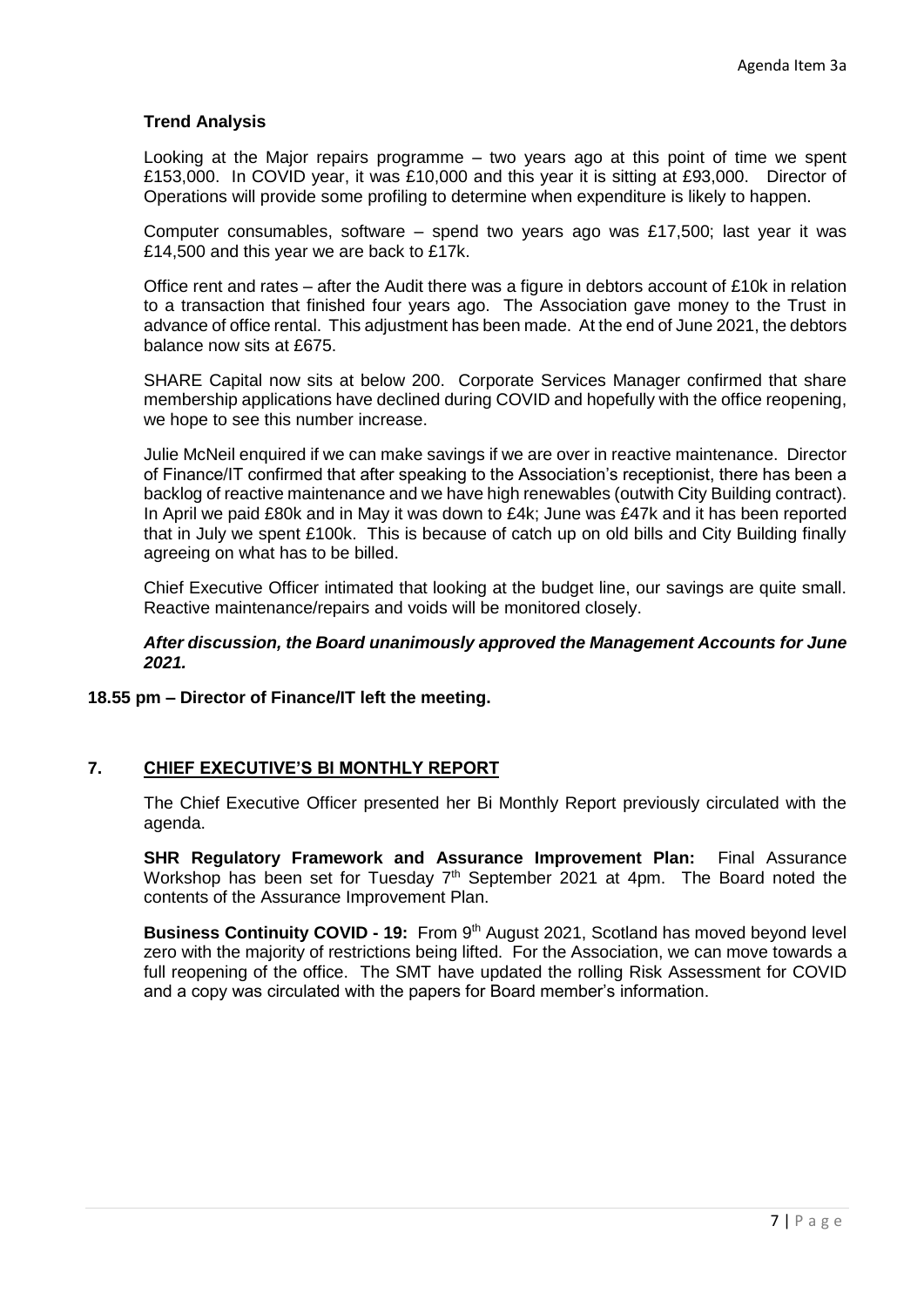### **Trend Analysis**

Looking at the Major repairs programme – two years ago at this point of time we spent £153,000. In COVID year, it was £10,000 and this year it is sitting at £93,000. Director of Operations will provide some profiling to determine when expenditure is likely to happen.

Computer consumables, software – spend two years ago was £17,500; last year it was £14,500 and this year we are back to £17k.

Office rent and rates – after the Audit there was a figure in debtors account of £10k in relation to a transaction that finished four years ago. The Association gave money to the Trust in advance of office rental. This adjustment has been made. At the end of June 2021, the debtors balance now sits at £675.

SHARE Capital now sits at below 200. Corporate Services Manager confirmed that share membership applications have declined during COVID and hopefully with the office reopening, we hope to see this number increase.

Julie McNeil enquired if we can make savings if we are over in reactive maintenance. Director of Finance/IT confirmed that after speaking to the Association's receptionist, there has been a backlog of reactive maintenance and we have high renewables (outwith City Building contract). In April we paid £80k and in May it was down to £4k; June was £47k and it has been reported that in July we spent £100k. This is because of catch up on old bills and City Building finally agreeing on what has to be billed.

Chief Executive Officer intimated that looking at the budget line, our savings are quite small. Reactive maintenance/repairs and voids will be monitored closely.

#### *After discussion, the Board unanimously approved the Management Accounts for June 2021.*

#### **18.55 pm – Director of Finance/IT left the meeting.**

### **7. CHIEF EXECUTIVE'S BI MONTHLY REPORT**

The Chief Executive Officer presented her Bi Monthly Report previously circulated with the agenda.

**SHR Regulatory Framework and Assurance Improvement Plan:** Final Assurance Workshop has been set for Tuesday  $7<sup>th</sup>$  September 2021 at 4pm. The Board noted the contents of the Assurance Improvement Plan.

**Business Continuity COVID - 19:** From 9th August 2021, Scotland has moved beyond level zero with the majority of restrictions being lifted. For the Association, we can move towards a full reopening of the office. The SMT have updated the rolling Risk Assessment for COVID and a copy was circulated with the papers for Board member's information.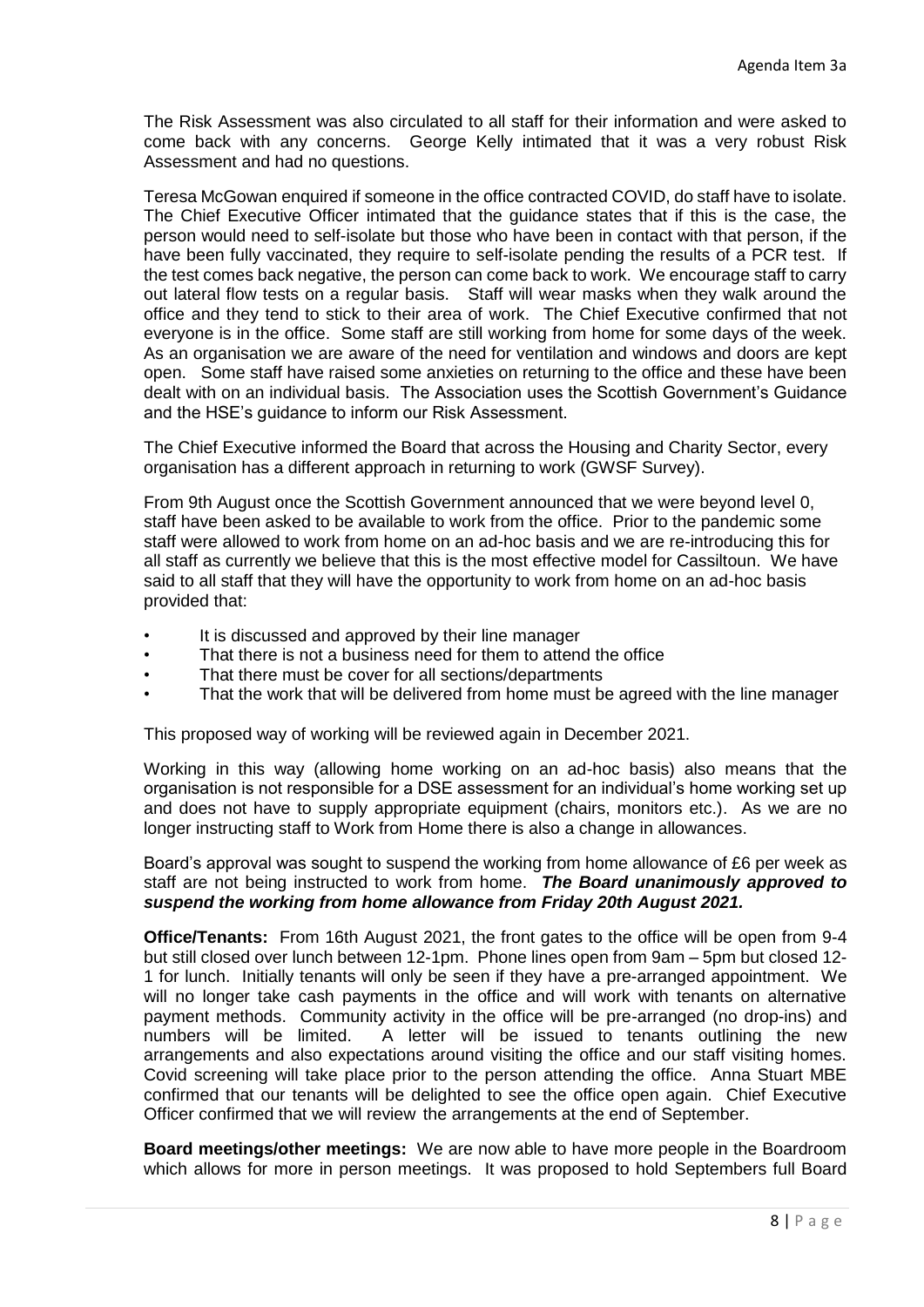The Risk Assessment was also circulated to all staff for their information and were asked to come back with any concerns. George Kelly intimated that it was a very robust Risk Assessment and had no questions.

Teresa McGowan enquired if someone in the office contracted COVID, do staff have to isolate. The Chief Executive Officer intimated that the guidance states that if this is the case, the person would need to self-isolate but those who have been in contact with that person, if the have been fully vaccinated, they require to self-isolate pending the results of a PCR test. If the test comes back negative, the person can come back to work. We encourage staff to carry out lateral flow tests on a regular basis. Staff will wear masks when they walk around the office and they tend to stick to their area of work. The Chief Executive confirmed that not everyone is in the office. Some staff are still working from home for some days of the week. As an organisation we are aware of the need for ventilation and windows and doors are kept open. Some staff have raised some anxieties on returning to the office and these have been dealt with on an individual basis. The Association uses the Scottish Government's Guidance and the HSE's guidance to inform our Risk Assessment.

The Chief Executive informed the Board that across the Housing and Charity Sector, every organisation has a different approach in returning to work (GWSF Survey).

From 9th August once the Scottish Government announced that we were beyond level 0, staff have been asked to be available to work from the office. Prior to the pandemic some staff were allowed to work from home on an ad-hoc basis and we are re-introducing this for all staff as currently we believe that this is the most effective model for Cassiltoun. We have said to all staff that they will have the opportunity to work from home on an ad-hoc basis provided that:

- It is discussed and approved by their line manager
- That there is not a business need for them to attend the office
- That there must be cover for all sections/departments
- That the work that will be delivered from home must be agreed with the line manager

This proposed way of working will be reviewed again in December 2021.

Working in this way (allowing home working on an ad-hoc basis) also means that the organisation is not responsible for a DSE assessment for an individual's home working set up and does not have to supply appropriate equipment (chairs, monitors etc.). As we are no longer instructing staff to Work from Home there is also a change in allowances.

Board's approval was sought to suspend the working from home allowance of £6 per week as staff are not being instructed to work from home. *The Board unanimously approved to suspend the working from home allowance from Friday 20th August 2021.*

**Office/Tenants:** From 16th August 2021, the front gates to the office will be open from 9-4 but still closed over lunch between 12-1pm. Phone lines open from 9am – 5pm but closed 12- 1 for lunch. Initially tenants will only be seen if they have a pre-arranged appointment. We will no longer take cash payments in the office and will work with tenants on alternative payment methods. Community activity in the office will be pre-arranged (no drop-ins) and numbers will be limited. A letter will be issued to tenants outlining the new arrangements and also expectations around visiting the office and our staff visiting homes. Covid screening will take place prior to the person attending the office. Anna Stuart MBE confirmed that our tenants will be delighted to see the office open again. Chief Executive Officer confirmed that we will review the arrangements at the end of September.

**Board meetings/other meetings:** We are now able to have more people in the Boardroom which allows for more in person meetings. It was proposed to hold Septembers full Board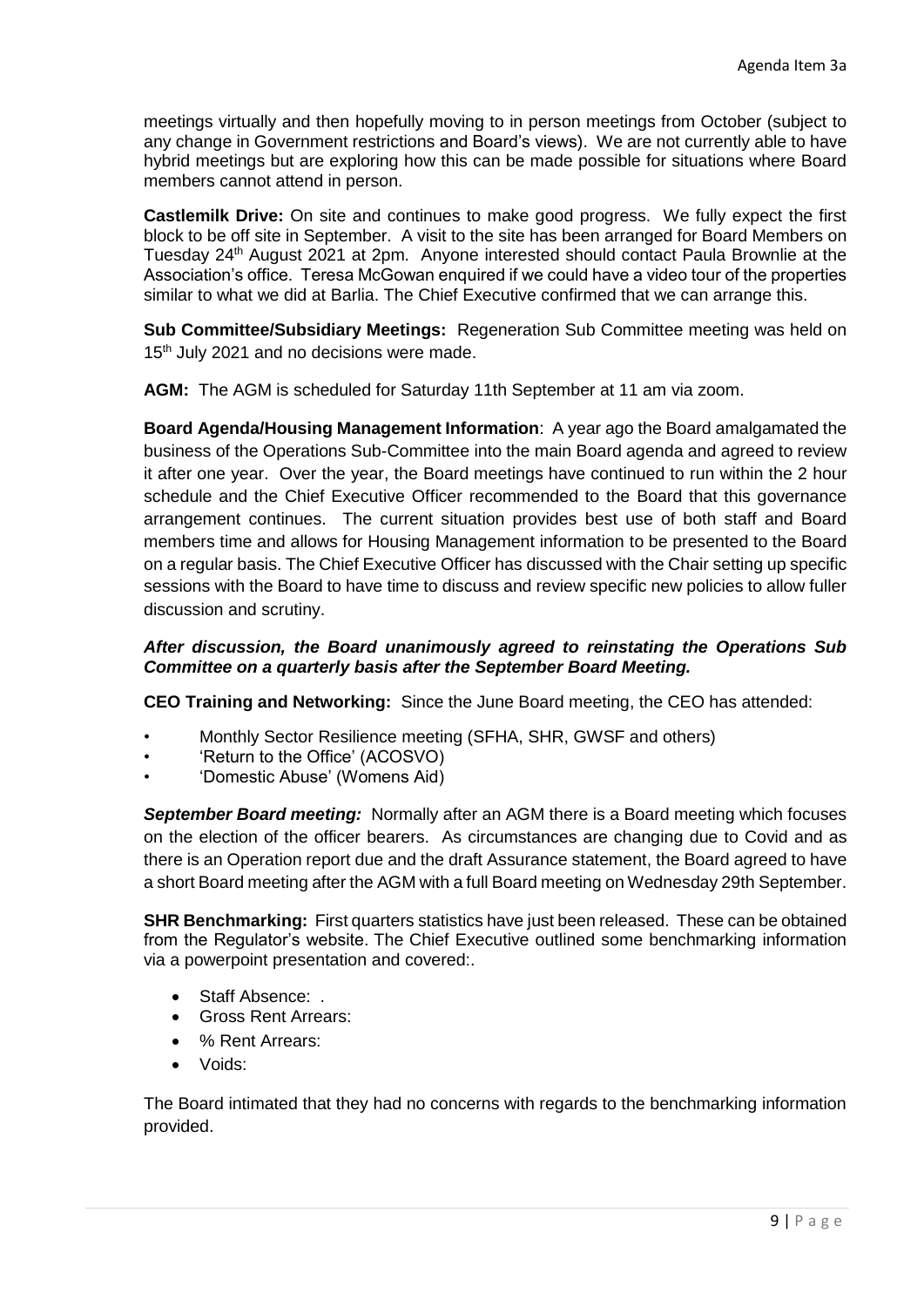meetings virtually and then hopefully moving to in person meetings from October (subject to any change in Government restrictions and Board's views). We are not currently able to have hybrid meetings but are exploring how this can be made possible for situations where Board members cannot attend in person.

**Castlemilk Drive:** On site and continues to make good progress. We fully expect the first block to be off site in September. A visit to the site has been arranged for Board Members on Tuesday 24<sup>th</sup> August 2021 at 2pm. Anyone interested should contact Paula Brownlie at the Association's office. Teresa McGowan enquired if we could have a video tour of the properties similar to what we did at Barlia. The Chief Executive confirmed that we can arrange this.

**Sub Committee/Subsidiary Meetings:** Regeneration Sub Committee meeting was held on 15<sup>th</sup> July 2021 and no decisions were made.

**AGM:** The AGM is scheduled for Saturday 11th September at 11 am via zoom.

**Board Agenda/Housing Management Information**: A year ago the Board amalgamated the business of the Operations Sub-Committee into the main Board agenda and agreed to review it after one year. Over the year, the Board meetings have continued to run within the 2 hour schedule and the Chief Executive Officer recommended to the Board that this governance arrangement continues. The current situation provides best use of both staff and Board members time and allows for Housing Management information to be presented to the Board on a regular basis. The Chief Executive Officer has discussed with the Chair setting up specific sessions with the Board to have time to discuss and review specific new policies to allow fuller discussion and scrutiny.

### *After discussion, the Board unanimously agreed to reinstating the Operations Sub Committee on a quarterly basis after the September Board Meeting.*

**CEO Training and Networking:** Since the June Board meeting, the CEO has attended:

- Monthly Sector Resilience meeting (SFHA, SHR, GWSF and others)
- 'Return to the Office' (ACOSVO)
- 'Domestic Abuse' (Womens Aid)

*September Board meeting:* Normally after an AGM there is a Board meeting which focuses on the election of the officer bearers. As circumstances are changing due to Covid and as there is an Operation report due and the draft Assurance statement, the Board agreed to have a short Board meeting after the AGM with a full Board meeting on Wednesday 29th September.

**SHR Benchmarking:** First quarters statistics have just been released. These can be obtained from the Regulator's website. The Chief Executive outlined some benchmarking information via a powerpoint presentation and covered:.

- Staff Absence: .
- Gross Rent Arrears:
- % Rent Arrears:
- Voids:

The Board intimated that they had no concerns with regards to the benchmarking information provided.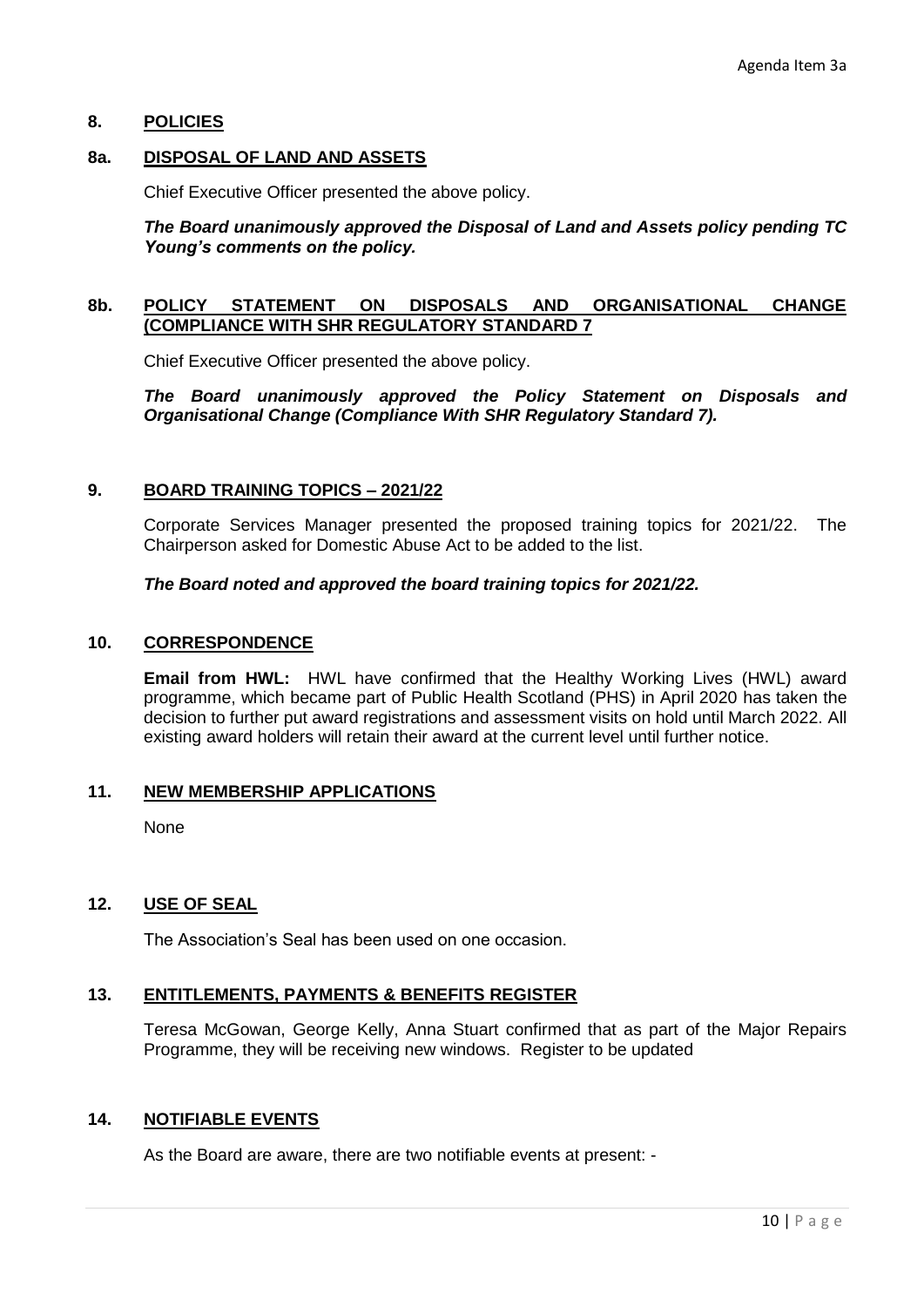### **8. POLICIES**

### **8a. DISPOSAL OF LAND AND ASSETS**

Chief Executive Officer presented the above policy.

### *The Board unanimously approved the Disposal of Land and Assets policy pending TC Young's comments on the policy.*

### **8b. POLICY STATEMENT ON DISPOSALS AND ORGANISATIONAL CHANGE (COMPLIANCE WITH SHR REGULATORY STANDARD 7**

Chief Executive Officer presented the above policy.

*The Board unanimously approved the Policy Statement on Disposals and Organisational Change (Compliance With SHR Regulatory Standard 7).*

#### **9. BOARD TRAINING TOPICS – 2021/22**

Corporate Services Manager presented the proposed training topics for 2021/22. The Chairperson asked for Domestic Abuse Act to be added to the list.

### *The Board noted and approved the board training topics for 2021/22.*

### **10. CORRESPONDENCE**

**Email from HWL:** HWL have confirmed that the Healthy Working Lives (HWL) award programme, which became part of Public Health Scotland (PHS) in April 2020 has taken the decision to further put award registrations and assessment visits on hold until March 2022. All existing award holders will retain their award at the current level until further notice.

#### **11. NEW MEMBERSHIP APPLICATIONS**

None

### **12. USE OF SEAL**

The Association's Seal has been used on one occasion.

### **13. ENTITLEMENTS, PAYMENTS & BENEFITS REGISTER**

Teresa McGowan, George Kelly, Anna Stuart confirmed that as part of the Major Repairs Programme, they will be receiving new windows. Register to be updated

### **14. NOTIFIABLE EVENTS**

As the Board are aware, there are two notifiable events at present: -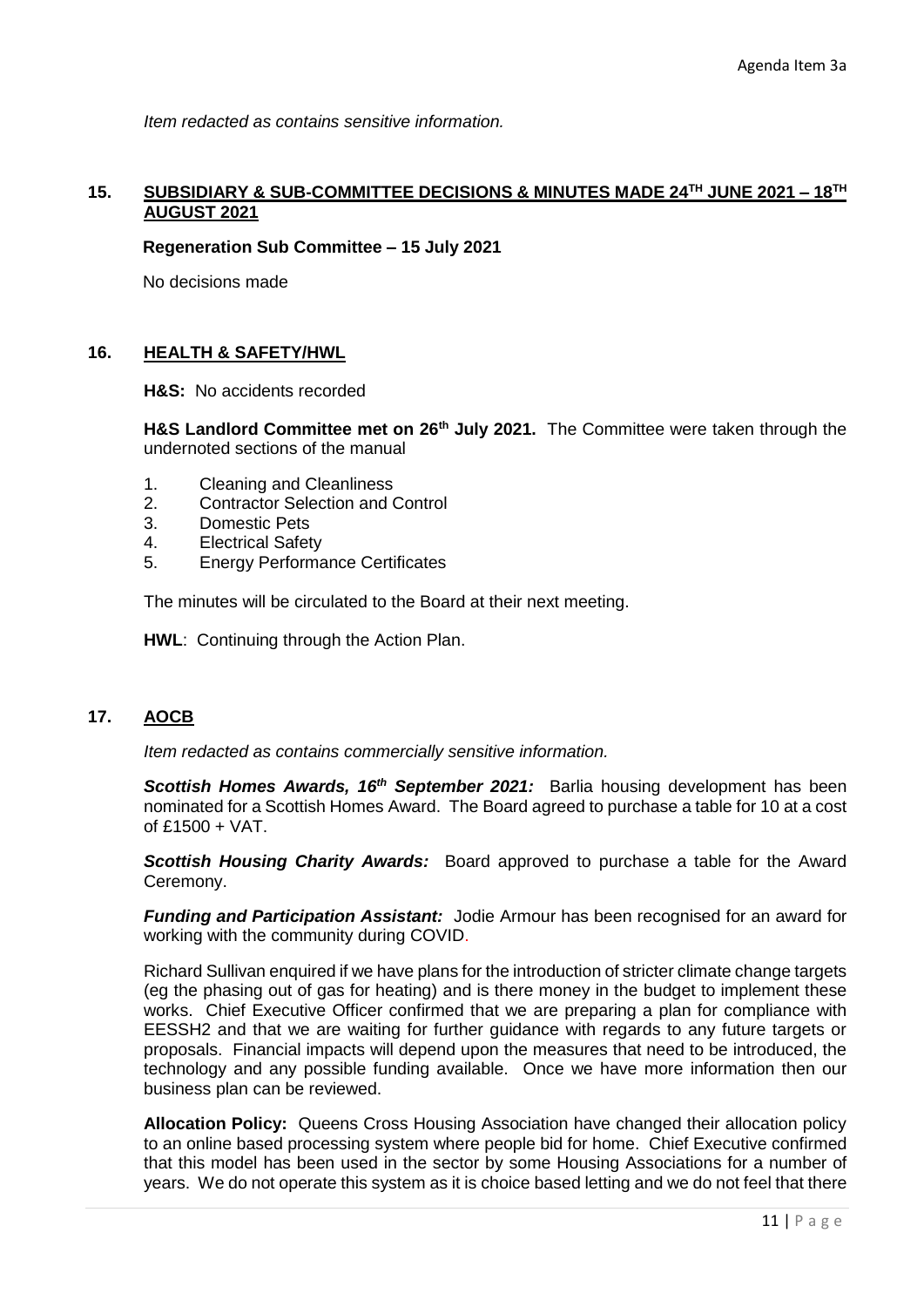*Item redacted as contains sensitive information.*

### **15. SUBSIDIARY & SUB-COMMITTEE DECISIONS & MINUTES MADE 24TH JUNE 2021 – 18TH AUGUST 2021**

#### **Regeneration Sub Committee – 15 July 2021**

No decisions made

### **16. HEALTH & SAFETY/HWL**

**H&S:** No accidents recorded

**H&S Landlord Committee met on 26th July 2021.** The Committee were taken through the undernoted sections of the manual

- 1. Cleaning and Cleanliness
- 2. Contractor Selection and Control
- 3. Domestic Pets
- 4. Electrical Safety
- 5. Energy Performance Certificates

The minutes will be circulated to the Board at their next meeting.

**HWL**: Continuing through the Action Plan.

### **17. AOCB**

*Item redacted as contains commercially sensitive information.*

*Scottish Homes Awards, 16th September 2021:* Barlia housing development has been nominated for a Scottish Homes Award. The Board agreed to purchase a table for 10 at a cost of £1500 + VAT.

*Scottish Housing Charity Awards:* Board approved to purchase a table for the Award Ceremony.

*Funding and Participation Assistant:* Jodie Armour has been recognised for an award for working with the community during COVID.

Richard Sullivan enquired if we have plans for the introduction of stricter climate change targets (eg the phasing out of gas for heating) and is there money in the budget to implement these works. Chief Executive Officer confirmed that we are preparing a plan for compliance with EESSH2 and that we are waiting for further guidance with regards to any future targets or proposals. Financial impacts will depend upon the measures that need to be introduced, the technology and any possible funding available. Once we have more information then our business plan can be reviewed.

**Allocation Policy:** Queens Cross Housing Association have changed their allocation policy to an online based processing system where people bid for home. Chief Executive confirmed that this model has been used in the sector by some Housing Associations for a number of years. We do not operate this system as it is choice based letting and we do not feel that there